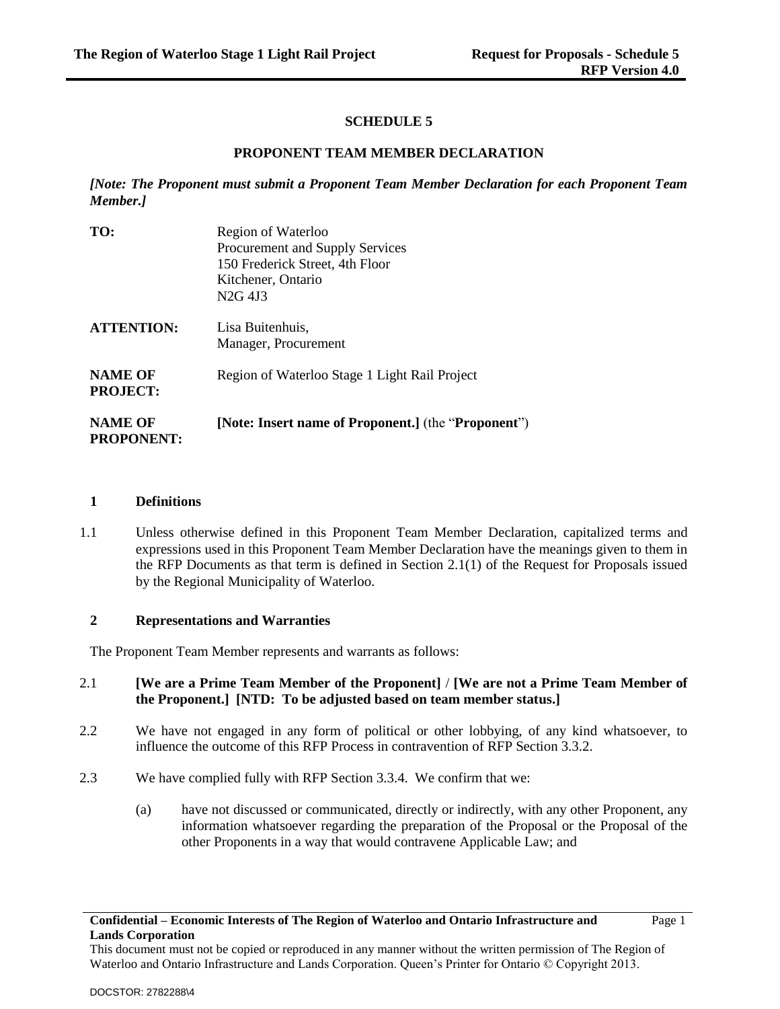# **SCHEDULE 5**

#### **PROPONENT TEAM MEMBER DECLARATION**

*[Note: The Proponent must submit a Proponent Team Member Declaration for each Proponent Team Member.]*

| TO:                                 | Region of Waterloo<br>Procurement and Supply Services |  |  |
|-------------------------------------|-------------------------------------------------------|--|--|
|                                     |                                                       |  |  |
|                                     | 150 Frederick Street, 4th Floor                       |  |  |
|                                     | Kitchener, Ontario                                    |  |  |
|                                     | N <sub>2G</sub> 4J <sub>3</sub>                       |  |  |
| <b>ATTENTION:</b>                   | Lisa Buitenhuis,                                      |  |  |
|                                     | Manager, Procurement                                  |  |  |
| <b>NAME OF</b><br><b>PROJECT:</b>   | Region of Waterloo Stage 1 Light Rail Project         |  |  |
| <b>NAME OF</b><br><b>PROPONENT:</b> | [Note: Insert name of Proponent.] (the "Proponent")   |  |  |

#### **1 Definitions**

1.1 Unless otherwise defined in this Proponent Team Member Declaration, capitalized terms and expressions used in this Proponent Team Member Declaration have the meanings given to them in the RFP Documents as that term is defined in Section 2.1(1) of the Request for Proposals issued by the Regional Municipality of Waterloo.

#### **2 Representations and Warranties**

The Proponent Team Member represents and warrants as follows:

# 2.1 **[We are a Prime Team Member of the Proponent]** / **[We are not a Prime Team Member of the Proponent.] [NTD: To be adjusted based on team member status.]**

- 2.2 We have not engaged in any form of political or other lobbying, of any kind whatsoever, to influence the outcome of this RFP Process in contravention of RFP Section 3.3.2.
- 2.3 We have complied fully with RFP Section 3.3.4. We confirm that we:
	- (a) have not discussed or communicated, directly or indirectly, with any other Proponent, any information whatsoever regarding the preparation of the Proposal or the Proposal of the other Proponents in a way that would contravene Applicable Law; and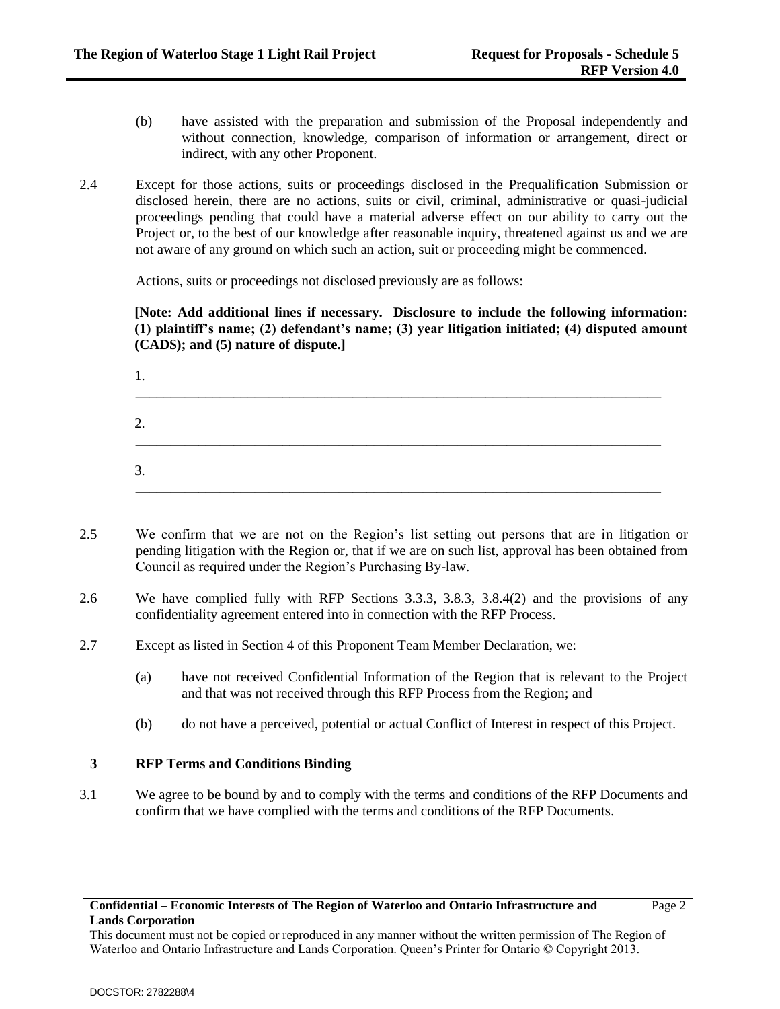- (b) have assisted with the preparation and submission of the Proposal independently and without connection, knowledge, comparison of information or arrangement, direct or indirect, with any other Proponent.
- 2.4 Except for those actions, suits or proceedings disclosed in the Prequalification Submission or disclosed herein, there are no actions, suits or civil, criminal, administrative or quasi-judicial proceedings pending that could have a material adverse effect on our ability to carry out the Project or, to the best of our knowledge after reasonable inquiry, threatened against us and we are not aware of any ground on which such an action, suit or proceeding might be commenced.

Actions, suits or proceedings not disclosed previously are as follows:

**[Note: Add additional lines if necessary. Disclosure to include the following information: (1) plaintiff's name; (2) defendant's name; (3) year litigation initiated; (4) disputed amount (CAD\$); and (5) nature of dispute.]**

| .,      |  |  |  |
|---------|--|--|--|
| っ<br>۷. |  |  |  |
| 3.      |  |  |  |

- 2.5 We confirm that we are not on the Region's list setting out persons that are in litigation or pending litigation with the Region or, that if we are on such list, approval has been obtained from Council as required under the Region's Purchasing By-law.
- 2.6 We have complied fully with RFP Sections 3.3.3, 3.8.3, 3.8.4(2) and the provisions of any confidentiality agreement entered into in connection with the RFP Process.
- 2.7 Except as listed in Section 4 of this Proponent Team Member Declaration, we:
	- (a) have not received Confidential Information of the Region that is relevant to the Project and that was not received through this RFP Process from the Region; and
	- (b) do not have a perceived, potential or actual Conflict of Interest in respect of this Project.

# **3 RFP Terms and Conditions Binding**

3.1 We agree to be bound by and to comply with the terms and conditions of the RFP Documents and confirm that we have complied with the terms and conditions of the RFP Documents.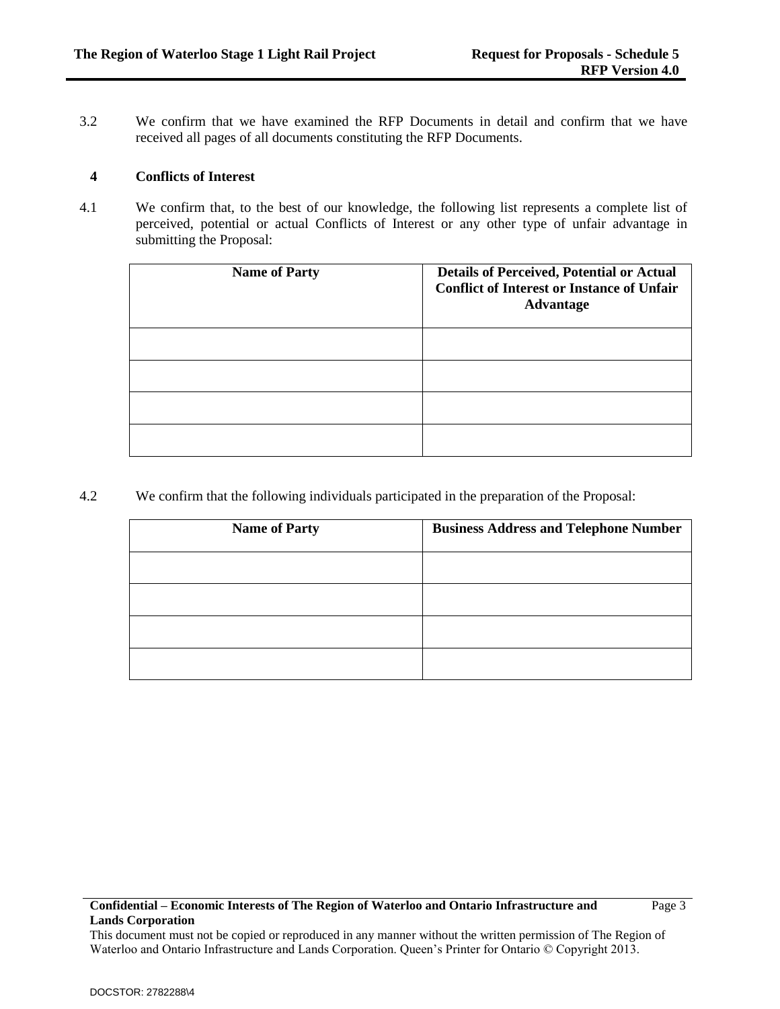3.2 We confirm that we have examined the RFP Documents in detail and confirm that we have received all pages of all documents constituting the RFP Documents.

#### **4 Conflicts of Interest**

4.1 We confirm that, to the best of our knowledge, the following list represents a complete list of perceived, potential or actual Conflicts of Interest or any other type of unfair advantage in submitting the Proposal:

| <b>Name of Party</b> | <b>Details of Perceived, Potential or Actual</b><br><b>Conflict of Interest or Instance of Unfair</b><br><b>Advantage</b> |
|----------------------|---------------------------------------------------------------------------------------------------------------------------|
|                      |                                                                                                                           |
|                      |                                                                                                                           |
|                      |                                                                                                                           |
|                      |                                                                                                                           |

4.2 We confirm that the following individuals participated in the preparation of the Proposal:

| <b>Name of Party</b> | <b>Business Address and Telephone Number</b> |
|----------------------|----------------------------------------------|
|                      |                                              |
|                      |                                              |
|                      |                                              |
|                      |                                              |